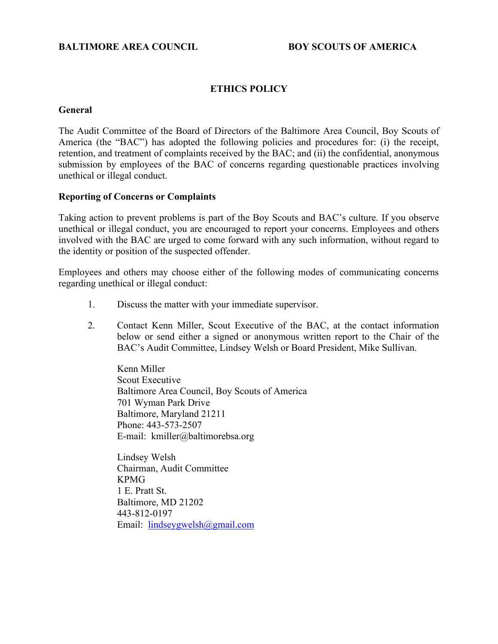# **BALTIMORE AREA COUNCIL BOY SCOUTS OF AMERICA**

### **ETHICS POLICY**

#### **General**

The Audit Committee of the Board of Directors of the Baltimore Area Council, Boy Scouts of America (the "BAC") has adopted the following policies and procedures for: (i) the receipt, retention, and treatment of complaints received by the BAC; and (ii) the confidential, anonymous submission by employees of the BAC of concerns regarding questionable practices involving unethical or illegal conduct.

#### **Reporting of Concerns or Complaints**

Taking action to prevent problems is part of the Boy Scouts and BAC's culture. If you observe unethical or illegal conduct, you are encouraged to report your concerns. Employees and others involved with the BAC are urged to come forward with any such information, without regard to the identity or position of the suspected offender.

Employees and others may choose either of the following modes of communicating concerns regarding unethical or illegal conduct:

- 1. Discuss the matter with your immediate supervisor.
- 2. Contact Kenn Miller, Scout Executive of the BAC, at the contact information below or send either a signed or anonymous written report to the Chair of the BAC's Audit Committee, Lindsey Welsh or Board President, Mike Sullivan.

Kenn Miller Scout Executive Baltimore Area Council, Boy Scouts of America 701 Wyman Park Drive Baltimore, Maryland 21211 Phone: 443-573-2507 E-mail: kmiller@baltimorebsa.org

Lindsey Welsh Chairman, Audit Committee KPMG 1 E. Pratt St. Baltimore, MD 21202 443-812-0197 Email: [lindseygwelsh@gmail.com](mailto:lindseygwelsh@gmail.com)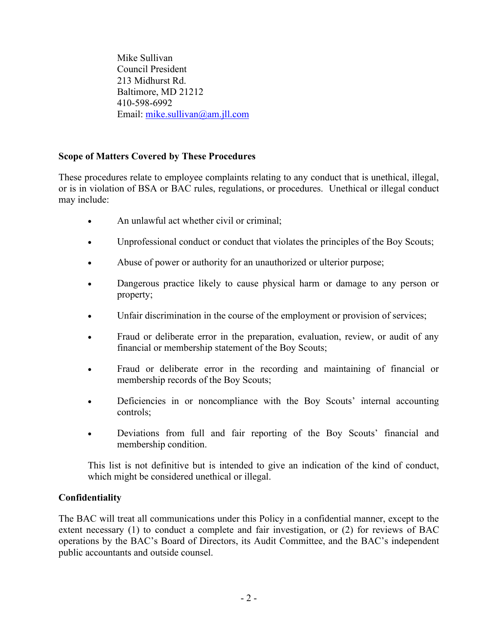Mike Sullivan Council President 213 Midhurst Rd. Baltimore, MD 21212 410-598-6992 Email: [mike.sullivan@am.jll.com](mailto:mike.sullivan@am.jll.com)

# **Scope of Matters Covered by These Procedures**

These procedures relate to employee complaints relating to any conduct that is unethical, illegal, or is in violation of BSA or BAC rules, regulations, or procedures. Unethical or illegal conduct may include:

- An unlawful act whether civil or criminal:
- Unprofessional conduct or conduct that violates the principles of the Boy Scouts;
- Abuse of power or authority for an unauthorized or ulterior purpose;
- Dangerous practice likely to cause physical harm or damage to any person or property;
- Unfair discrimination in the course of the employment or provision of services;
- Fraud or deliberate error in the preparation, evaluation, review, or audit of any financial or membership statement of the Boy Scouts;
- Fraud or deliberate error in the recording and maintaining of financial or membership records of the Boy Scouts;
- Deficiencies in or noncompliance with the Boy Scouts' internal accounting controls;
- Deviations from full and fair reporting of the Boy Scouts' financial and membership condition.

This list is not definitive but is intended to give an indication of the kind of conduct, which might be considered unethical or illegal.

# **Confidentiality**

The BAC will treat all communications under this Policy in a confidential manner, except to the extent necessary (1) to conduct a complete and fair investigation, or (2) for reviews of BAC operations by the BAC's Board of Directors, its Audit Committee, and the BAC's independent public accountants and outside counsel.